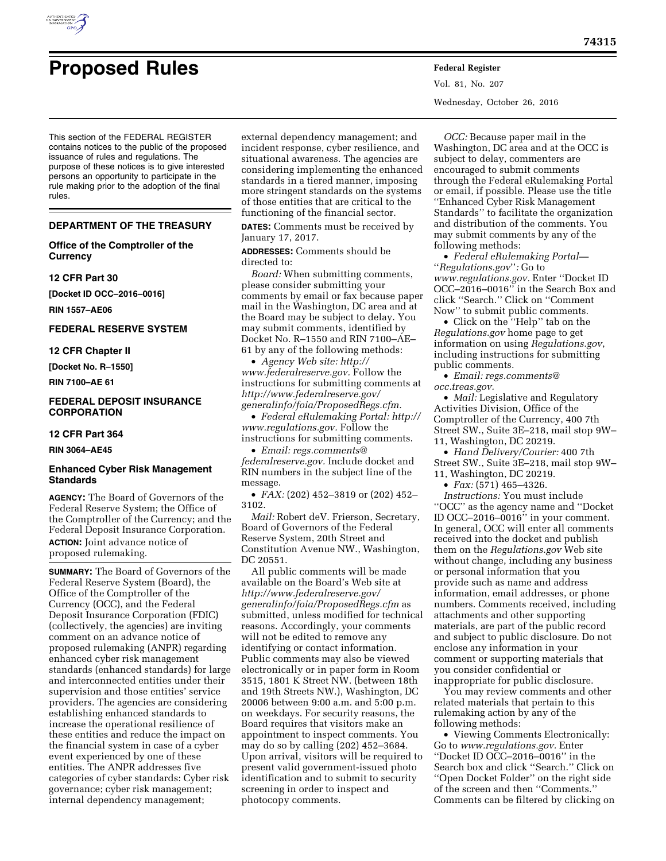

Vol. 81, No. 207 Wednesday, October 26, 2016

This section of the FEDERAL REGISTER contains notices to the public of the proposed issuance of rules and regulations. The purpose of these notices is to give interested persons an opportunity to participate in the rule making prior to the adoption of the final rules.

## **DEPARTMENT OF THE TREASURY**

# **Office of the Comptroller of the Currency**

#### **12 CFR Part 30**

**[Docket ID OCC–2016–0016]** 

**RIN 1557–AE06** 

# **FEDERAL RESERVE SYSTEM**

#### **12 CFR Chapter II**

**[Docket No. R–1550]** 

**RIN 7100–AE 61** 

## **FEDERAL DEPOSIT INSURANCE CORPORATION**

## **12 CFR Part 364**

**RIN 3064–AE45** 

## **Enhanced Cyber Risk Management Standards**

**AGENCY:** The Board of Governors of the Federal Reserve System; the Office of the Comptroller of the Currency; and the Federal Deposit Insurance Corporation. **ACTION:** Joint advance notice of proposed rulemaking.

**SUMMARY:** The Board of Governors of the Federal Reserve System (Board), the Office of the Comptroller of the Currency (OCC), and the Federal Deposit Insurance Corporation (FDIC) (collectively, the agencies) are inviting comment on an advance notice of proposed rulemaking (ANPR) regarding enhanced cyber risk management standards (enhanced standards) for large and interconnected entities under their supervision and those entities' service providers. The agencies are considering establishing enhanced standards to increase the operational resilience of these entities and reduce the impact on the financial system in case of a cyber event experienced by one of these entities. The ANPR addresses five categories of cyber standards: Cyber risk governance; cyber risk management; internal dependency management;

external dependency management; and incident response, cyber resilience, and situational awareness. The agencies are considering implementing the enhanced standards in a tiered manner, imposing more stringent standards on the systems of those entities that are critical to the functioning of the financial sector.

**DATES:** Comments must be received by January 17, 2017.

**ADDRESSES:** Comments should be directed to:

*Board:* When submitting comments, please consider submitting your comments by email or fax because paper mail in the Washington, DC area and at the Board may be subject to delay. You may submit comments, identified by Docket No. R–1550 and RIN 7100–AE– 61 by any of the following methods:

• *Agency Web site: [http://](http://www.federalreserve.gov) [www.federalreserve.gov.](http://www.federalreserve.gov)* Follow the instructions for submitting comments at *[http://www.federalreserve.gov/](http://www.federalreserve.gov/generalinfo/foia/ProposedRegs.cfm)  [generalinfo/foia/ProposedRegs.cfm.](http://www.federalreserve.gov/generalinfo/foia/ProposedRegs.cfm)* 

• *Federal eRulemaking Portal: [http://](http://www.regulations.gov)  [www.regulations.gov.](http://www.regulations.gov)* Follow the instructions for submitting comments.

• *Email: [regs.comments@](mailto:regs.comments@federalreserve.gov) [federalreserve.gov.](mailto:regs.comments@federalreserve.gov)* Include docket and RIN numbers in the subject line of the message.

• *FAX:* (202) 452–3819 or (202) 452– 3102.

*Mail:* Robert deV. Frierson, Secretary, Board of Governors of the Federal Reserve System, 20th Street and Constitution Avenue NW., Washington, DC 20551.

All public comments will be made available on the Board's Web site at *[http://www.federalreserve.gov/](http://www.federalreserve.gov/generalinfo/foia/ProposedRegs.cfm)  [generalinfo/foia/ProposedRegs.cfm](http://www.federalreserve.gov/generalinfo/foia/ProposedRegs.cfm)* as submitted, unless modified for technical reasons. Accordingly, your comments will not be edited to remove any identifying or contact information. Public comments may also be viewed electronically or in paper form in Room 3515, 1801 K Street NW. (between 18th and 19th Streets NW.), Washington, DC 20006 between 9:00 a.m. and 5:00 p.m. on weekdays. For security reasons, the Board requires that visitors make an appointment to inspect comments. You may do so by calling (202) 452–3684. Upon arrival, visitors will be required to present valid government-issued photo identification and to submit to security screening in order to inspect and photocopy comments.

*OCC:* Because paper mail in the Washington, DC area and at the OCC is subject to delay, commenters are encouraged to submit comments through the Federal eRulemaking Portal or email, if possible. Please use the title ''Enhanced Cyber Risk Management Standards'' to facilitate the organization and distribution of the comments. You may submit comments by any of the following methods:

• *Federal eRulemaking Portal—*  ''*Regulations.gov*''*:* Go to *[www.regulations.gov.](http://www.regulations.gov)* Enter ''Docket ID OCC–2016–0016'' in the Search Box and click ''Search.'' Click on ''Comment Now'' to submit public comments.

• Click on the ''Help'' tab on the *Regulations.gov* home page to get information on using *Regulations.gov*, including instructions for submitting public comments.

• *Email: [regs.comments@](mailto:regs.comments@occ.treas.gov) [occ.treas.gov.](mailto:regs.comments@occ.treas.gov)* 

• *Mail:* Legislative and Regulatory Activities Division, Office of the Comptroller of the Currency, 400 7th Street SW., Suite 3E–218, mail stop 9W– 11, Washington, DC 20219.

• *Hand Delivery/Courier:* 400 7th Street SW., Suite 3E–218, mail stop 9W– 11, Washington, DC 20219.

• *Fax:* (571) 465–4326.

*Instructions:* You must include ''OCC'' as the agency name and ''Docket ID OCC–2016–0016'' in your comment. In general, OCC will enter all comments received into the docket and publish them on the *Regulations.gov* Web site without change, including any business or personal information that you provide such as name and address information, email addresses, or phone numbers. Comments received, including attachments and other supporting materials, are part of the public record and subject to public disclosure. Do not enclose any information in your comment or supporting materials that you consider confidential or inappropriate for public disclosure.

You may review comments and other related materials that pertain to this rulemaking action by any of the following methods:

• Viewing Comments Electronically: Go to *[www.regulations.gov.](http://www.regulations.gov)* Enter ''Docket ID OCC–2016–0016'' in the Search box and click ''Search.'' Click on ''Open Docket Folder'' on the right side of the screen and then ''Comments.'' Comments can be filtered by clicking on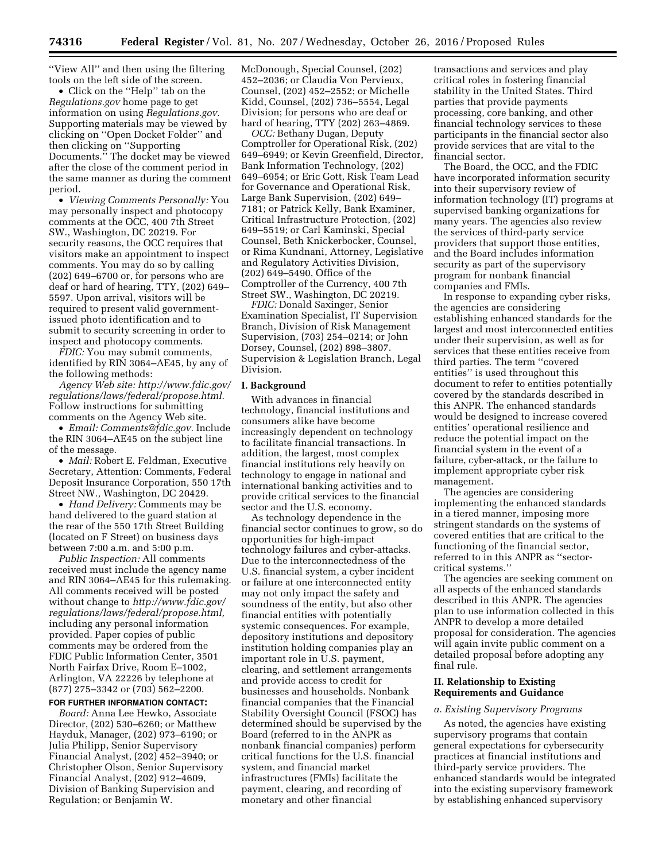''View All'' and then using the filtering tools on the left side of the screen.

• Click on the ''Help'' tab on the *Regulations.gov* home page to get information on using *Regulations.gov*. Supporting materials may be viewed by clicking on ''Open Docket Folder'' and then clicking on ''Supporting Documents.'' The docket may be viewed after the close of the comment period in the same manner as during the comment period.

• *Viewing Comments Personally:* You may personally inspect and photocopy comments at the OCC, 400 7th Street SW., Washington, DC 20219. For security reasons, the OCC requires that visitors make an appointment to inspect comments. You may do so by calling (202) 649–6700 or, for persons who are deaf or hard of hearing, TTY, (202) 649– 5597. Upon arrival, visitors will be required to present valid governmentissued photo identification and to submit to security screening in order to inspect and photocopy comments.

*FDIC:* You may submit comments, identified by RIN 3064–AE45, by any of the following methods:

*Agency Web site: [http://www.fdic.gov/](http://www.fdic.gov/regulations/laws/federal/propose.html) [regulations/laws/federal/propose.html.](http://www.fdic.gov/regulations/laws/federal/propose.html)*  Follow instructions for submitting comments on the Agency Web site.

• *Email: [Comments@fdic.gov.](mailto:Comments@fdic.gov)* Include the RIN 3064–AE45 on the subject line of the message.

• *Mail:* Robert E. Feldman, Executive Secretary, Attention: Comments, Federal Deposit Insurance Corporation, 550 17th Street NW., Washington, DC 20429.

• *Hand Delivery:* Comments may be hand delivered to the guard station at the rear of the 550 17th Street Building (located on F Street) on business days between 7:00 a.m. and 5:00 p.m.

*Public Inspection:* All comments received must include the agency name and RIN 3064–AE45 for this rulemaking. All comments received will be posted without change to *[http://www.fdic.gov/](http://www.fdic.gov/regulations/laws/federal/propose.html) [regulations/laws/federal/propose.html,](http://www.fdic.gov/regulations/laws/federal/propose.html)*  including any personal information provided. Paper copies of public comments may be ordered from the FDIC Public Information Center, 3501 North Fairfax Drive, Room E–1002, Arlington, VA 22226 by telephone at (877) 275–3342 or (703) 562–2200.

#### **FOR FURTHER INFORMATION CONTACT:**

*Board:* Anna Lee Hewko, Associate Director, (202) 530–6260; or Matthew Hayduk, Manager, (202) 973–6190; or Julia Philipp, Senior Supervisory Financial Analyst, (202) 452–3940; or Christopher Olson, Senior Supervisory Financial Analyst, (202) 912–4609, Division of Banking Supervision and Regulation; or Benjamin W.

McDonough, Special Counsel, (202) 452–2036; or Claudia Von Pervieux, Counsel, (202) 452–2552; or Michelle Kidd, Counsel, (202) 736–5554, Legal Division; for persons who are deaf or hard of hearing, TTY (202) 263–4869.

*OCC:* Bethany Dugan, Deputy Comptroller for Operational Risk, (202) 649–6949; or Kevin Greenfield, Director, Bank Information Technology, (202) 649–6954; or Eric Gott, Risk Team Lead for Governance and Operational Risk, Large Bank Supervision, (202) 649– 7181; or Patrick Kelly, Bank Examiner, Critical Infrastructure Protection, (202) 649–5519; or Carl Kaminski, Special Counsel, Beth Knickerbocker, Counsel, or Rima Kundnani, Attorney, Legislative and Regulatory Activities Division, (202) 649–5490, Office of the Comptroller of the Currency, 400 7th Street SW., Washington, DC 20219.

*FDIC:* Donald Saxinger, Senior Examination Specialist, IT Supervision Branch, Division of Risk Management Supervision, (703) 254–0214; or John Dorsey, Counsel, (202) 898–3807. Supervision & Legislation Branch, Legal Division.

#### **I. Background**

With advances in financial technology, financial institutions and consumers alike have become increasingly dependent on technology to facilitate financial transactions. In addition, the largest, most complex financial institutions rely heavily on technology to engage in national and international banking activities and to provide critical services to the financial sector and the U.S. economy.

As technology dependence in the financial sector continues to grow, so do opportunities for high-impact technology failures and cyber-attacks. Due to the interconnectedness of the U.S. financial system, a cyber incident or failure at one interconnected entity may not only impact the safety and soundness of the entity, but also other financial entities with potentially systemic consequences. For example, depository institutions and depository institution holding companies play an important role in U.S. payment, clearing, and settlement arrangements and provide access to credit for businesses and households. Nonbank financial companies that the Financial Stability Oversight Council (FSOC) has determined should be supervised by the Board (referred to in the ANPR as nonbank financial companies) perform critical functions for the U.S. financial system, and financial market infrastructures (FMIs) facilitate the payment, clearing, and recording of monetary and other financial

transactions and services and play critical roles in fostering financial stability in the United States. Third parties that provide payments processing, core banking, and other financial technology services to these participants in the financial sector also provide services that are vital to the financial sector.

The Board, the OCC, and the FDIC have incorporated information security into their supervisory review of information technology (IT) programs at supervised banking organizations for many years. The agencies also review the services of third-party service providers that support those entities, and the Board includes information security as part of the supervisory program for nonbank financial companies and FMIs.

In response to expanding cyber risks, the agencies are considering establishing enhanced standards for the largest and most interconnected entities under their supervision, as well as for services that these entities receive from third parties. The term ''covered entities'' is used throughout this document to refer to entities potentially covered by the standards described in this ANPR. The enhanced standards would be designed to increase covered entities' operational resilience and reduce the potential impact on the financial system in the event of a failure, cyber-attack, or the failure to implement appropriate cyber risk management.

The agencies are considering implementing the enhanced standards in a tiered manner, imposing more stringent standards on the systems of covered entities that are critical to the functioning of the financial sector, referred to in this ANPR as ''sectorcritical systems.''

The agencies are seeking comment on all aspects of the enhanced standards described in this ANPR. The agencies plan to use information collected in this ANPR to develop a more detailed proposal for consideration. The agencies will again invite public comment on a detailed proposal before adopting any final rule.

## **II. Relationship to Existing Requirements and Guidance**

#### *a. Existing Supervisory Programs*

As noted, the agencies have existing supervisory programs that contain general expectations for cybersecurity practices at financial institutions and third-party service providers. The enhanced standards would be integrated into the existing supervisory framework by establishing enhanced supervisory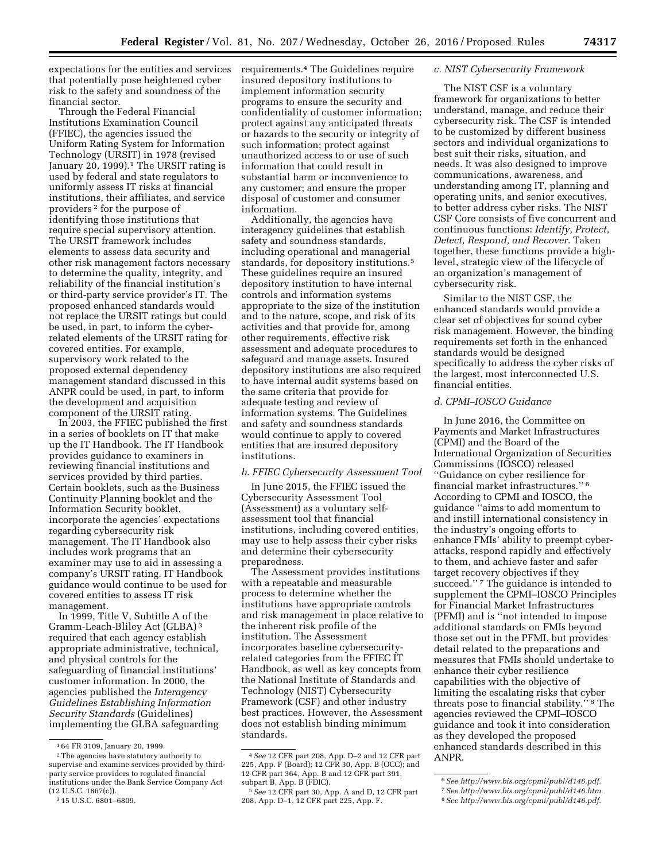expectations for the entities and services that potentially pose heightened cyber risk to the safety and soundness of the financial sector.

Through the Federal Financial Institutions Examination Council (FFIEC), the agencies issued the Uniform Rating System for Information Technology (URSIT) in 1978 (revised January 20, 1999).<sup>1</sup> The URSIT rating is used by federal and state regulators to uniformly assess IT risks at financial institutions, their affiliates, and service providers 2 for the purpose of identifying those institutions that require special supervisory attention. The URSIT framework includes elements to assess data security and other risk management factors necessary to determine the quality, integrity, and reliability of the financial institution's or third-party service provider's IT. The proposed enhanced standards would not replace the URSIT ratings but could be used, in part, to inform the cyberrelated elements of the URSIT rating for covered entities. For example, supervisory work related to the proposed external dependency management standard discussed in this ANPR could be used, in part, to inform the development and acquisition component of the URSIT rating.

In 2003, the FFIEC published the first in a series of booklets on IT that make up the IT Handbook. The IT Handbook provides guidance to examiners in reviewing financial institutions and services provided by third parties. Certain booklets, such as the Business Continuity Planning booklet and the Information Security booklet, incorporate the agencies' expectations regarding cybersecurity risk management. The IT Handbook also includes work programs that an examiner may use to aid in assessing a company's URSIT rating. IT Handbook guidance would continue to be used for covered entities to assess IT risk management.

In 1999, Title V, Subtitle A of the Gramm-Leach-Bliley Act (GLBA) 3 required that each agency establish appropriate administrative, technical, and physical controls for the safeguarding of financial institutions' customer information. In 2000, the agencies published the *Interagency Guidelines Establishing Information Security Standards* (Guidelines) implementing the GLBA safeguarding requirements.4 The Guidelines require insured depository institutions to implement information security programs to ensure the security and confidentiality of customer information; protect against any anticipated threats or hazards to the security or integrity of such information; protect against unauthorized access to or use of such information that could result in substantial harm or inconvenience to any customer; and ensure the proper disposal of customer and consumer information.

Additionally, the agencies have interagency guidelines that establish safety and soundness standards, including operational and managerial standards, for depository institutions.5 These guidelines require an insured depository institution to have internal controls and information systems appropriate to the size of the institution and to the nature, scope, and risk of its activities and that provide for, among other requirements, effective risk assessment and adequate procedures to safeguard and manage assets. Insured depository institutions are also required to have internal audit systems based on the same criteria that provide for adequate testing and review of information systems. The Guidelines and safety and soundness standards would continue to apply to covered entities that are insured depository institutions.

#### *b. FFIEC Cybersecurity Assessment Tool*

In June 2015, the FFIEC issued the Cybersecurity Assessment Tool (Assessment) as a voluntary selfassessment tool that financial institutions, including covered entities, may use to help assess their cyber risks and determine their cybersecurity preparedness.

The Assessment provides institutions with a repeatable and measurable process to determine whether the institutions have appropriate controls and risk management in place relative to the inherent risk profile of the institution. The Assessment incorporates baseline cybersecurityrelated categories from the FFIEC IT Handbook, as well as key concepts from the National Institute of Standards and Technology (NIST) Cybersecurity Framework (CSF) and other industry best practices. However, the Assessment does not establish binding minimum standards.

#### *c. NIST Cybersecurity Framework*

The NIST CSF is a voluntary framework for organizations to better understand, manage, and reduce their cybersecurity risk. The CSF is intended to be customized by different business sectors and individual organizations to best suit their risks, situation, and needs. It was also designed to improve communications, awareness, and understanding among IT, planning and operating units, and senior executives, to better address cyber risks. The NIST CSF Core consists of five concurrent and continuous functions: *Identify, Protect, Detect, Respond, and Recover.* Taken together, these functions provide a highlevel, strategic view of the lifecycle of an organization's management of cybersecurity risk.

Similar to the NIST CSF, the enhanced standards would provide a clear set of objectives for sound cyber risk management. However, the binding requirements set forth in the enhanced standards would be designed specifically to address the cyber risks of the largest, most interconnected U.S. financial entities.

# *d. CPMI–IOSCO Guidance*

In June 2016, the Committee on Payments and Market Infrastructures (CPMI) and the Board of the International Organization of Securities Commissions (IOSCO) released ''Guidance on cyber resilience for financial market infrastructures.'' 6 According to CPMI and IOSCO, the guidance ''aims to add momentum to and instill international consistency in the industry's ongoing efforts to enhance FMIs' ability to preempt cyberattacks, respond rapidly and effectively to them, and achieve faster and safer target recovery objectives if they succeed."<sup>7</sup> The guidance is intended to supplement the CPMI–IOSCO Principles for Financial Market Infrastructures (PFMI) and is ''not intended to impose additional standards on FMIs beyond those set out in the PFMI, but provides detail related to the preparations and measures that FMIs should undertake to enhance their cyber resilience capabilities with the objective of limiting the escalating risks that cyber threats pose to financial stability.'' 8 The agencies reviewed the CPMI–IOSCO guidance and took it into consideration as they developed the proposed enhanced standards described in this ANPR.

<sup>1</sup> 64 FR 3109, January 20, 1999.

 $\,{}^2$  The agencies have statutory authority to supervise and examine services provided by thirdparty service providers to regulated financial institutions under the Bank Service Company Act (12 U.S.C. 1867(c)).

<sup>3</sup> 15 U.S.C. 6801–6809.

<sup>4</sup>*See* 12 CFR part 208, App. D–2 and 12 CFR part 225, App. F (Board); 12 CFR 30, App. B (OCC); and 12 CFR part 364, App. B and 12 CFR part 391, subpart B, App. B (FDIC).

<sup>5</sup>*See* 12 CFR part 30, App. A and D, 12 CFR part 208, App. D–1, 12 CFR part 225, App. F.

<sup>6</sup>*See [http://www.bis.org/cpmi/publ/d146.pdf.](http://www.bis.org/cpmi/publ/d146.pdf)*  7*See [http://www.bis.org/cpmi/publ/d146.htm.](http://www.bis.org/cpmi/publ/d146.htm)* 

<sup>8</sup>*See [http://www.bis.org/cpmi/publ/d146.pdf.](http://www.bis.org/cpmi/publ/d146.pdf)*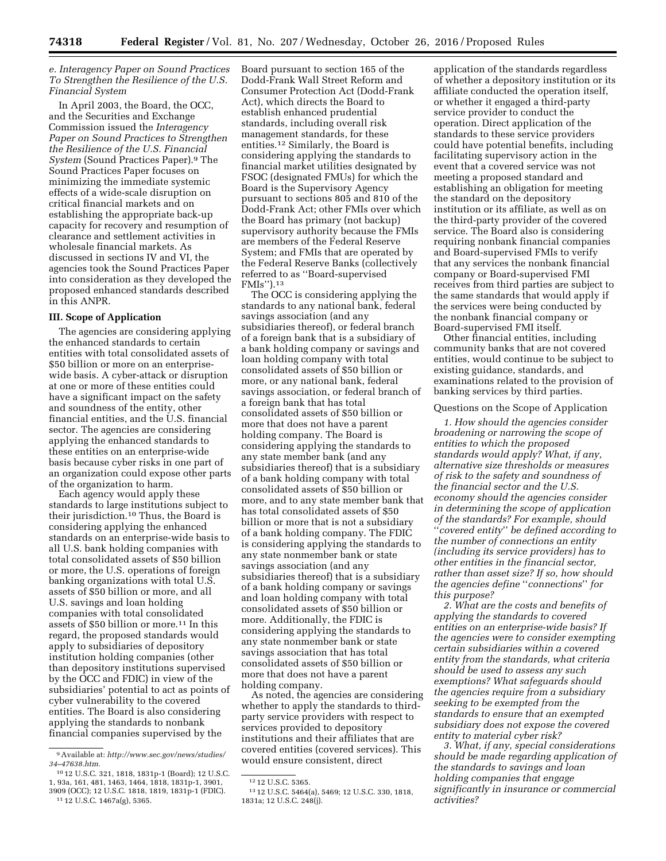*e. Interagency Paper on Sound Practices To Strengthen the Resilience of the U.S. Financial System* 

In April 2003, the Board, the OCC, and the Securities and Exchange Commission issued the *Interagency Paper on Sound Practices to Strengthen the Resilience of the U.S. Financial System* (Sound Practices Paper).9 The Sound Practices Paper focuses on minimizing the immediate systemic effects of a wide-scale disruption on critical financial markets and on establishing the appropriate back-up capacity for recovery and resumption of clearance and settlement activities in wholesale financial markets. As discussed in sections IV and VI, the agencies took the Sound Practices Paper into consideration as they developed the proposed enhanced standards described in this ANPR.

## **III. Scope of Application**

The agencies are considering applying the enhanced standards to certain entities with total consolidated assets of \$50 billion or more on an enterprisewide basis. A cyber-attack or disruption at one or more of these entities could have a significant impact on the safety and soundness of the entity, other financial entities, and the U.S. financial sector. The agencies are considering applying the enhanced standards to these entities on an enterprise-wide basis because cyber risks in one part of an organization could expose other parts of the organization to harm.

Each agency would apply these standards to large institutions subject to their jurisdiction.10 Thus, the Board is considering applying the enhanced standards on an enterprise-wide basis to all U.S. bank holding companies with total consolidated assets of \$50 billion or more, the U.S. operations of foreign banking organizations with total U.S. assets of \$50 billion or more, and all U.S. savings and loan holding companies with total consolidated assets of \$50 billion or more.11 In this regard, the proposed standards would apply to subsidiaries of depository institution holding companies (other than depository institutions supervised by the OCC and FDIC) in view of the subsidiaries' potential to act as points of cyber vulnerability to the covered entities. The Board is also considering applying the standards to nonbank financial companies supervised by the

Board pursuant to section 165 of the Dodd-Frank Wall Street Reform and Consumer Protection Act (Dodd-Frank Act), which directs the Board to establish enhanced prudential standards, including overall risk management standards, for these entities.12 Similarly, the Board is considering applying the standards to financial market utilities designated by FSOC (designated FMUs) for which the Board is the Supervisory Agency pursuant to sections 805 and 810 of the Dodd-Frank Act; other FMIs over which the Board has primary (not backup) supervisory authority because the FMIs are members of the Federal Reserve System; and FMIs that are operated by the Federal Reserve Banks (collectively referred to as ''Board-supervised FMIs'').13

The OCC is considering applying the standards to any national bank, federal savings association (and any subsidiaries thereof), or federal branch of a foreign bank that is a subsidiary of a bank holding company or savings and loan holding company with total consolidated assets of \$50 billion or more, or any national bank, federal savings association, or federal branch of a foreign bank that has total consolidated assets of \$50 billion or more that does not have a parent holding company. The Board is considering applying the standards to any state member bank (and any subsidiaries thereof) that is a subsidiary of a bank holding company with total consolidated assets of \$50 billion or more, and to any state member bank that has total consolidated assets of \$50 billion or more that is not a subsidiary of a bank holding company. The FDIC is considering applying the standards to any state nonmember bank or state savings association (and any subsidiaries thereof) that is a subsidiary of a bank holding company or savings and loan holding company with total consolidated assets of \$50 billion or more. Additionally, the FDIC is considering applying the standards to any state nonmember bank or state savings association that has total consolidated assets of \$50 billion or more that does not have a parent holding company.

As noted, the agencies are considering whether to apply the standards to thirdparty service providers with respect to services provided to depository institutions and their affiliates that are covered entities (covered services). This would ensure consistent, direct

application of the standards regardless of whether a depository institution or its affiliate conducted the operation itself, or whether it engaged a third-party service provider to conduct the operation. Direct application of the standards to these service providers could have potential benefits, including facilitating supervisory action in the event that a covered service was not meeting a proposed standard and establishing an obligation for meeting the standard on the depository institution or its affiliate, as well as on the third-party provider of the covered service. The Board also is considering requiring nonbank financial companies and Board-supervised FMIs to verify that any services the nonbank financial company or Board-supervised FMI receives from third parties are subject to the same standards that would apply if the services were being conducted by the nonbank financial company or Board-supervised FMI itself.

Other financial entities, including community banks that are not covered entities, would continue to be subject to existing guidance, standards, and examinations related to the provision of banking services by third parties.

### Questions on the Scope of Application

*1. How should the agencies consider broadening or narrowing the scope of entities to which the proposed standards would apply? What, if any, alternative size thresholds or measures of risk to the safety and soundness of the financial sector and the U.S. economy should the agencies consider in determining the scope of application of the standards? For example, should*  ''*covered entity*'' *be defined according to the number of connections an entity (including its service providers) has to other entities in the financial sector, rather than asset size? If so, how should the agencies define* ''*connections*'' *for this purpose?* 

*2. What are the costs and benefits of applying the standards to covered entities on an enterprise-wide basis? If the agencies were to consider exempting certain subsidiaries within a covered entity from the standards, what criteria should be used to assess any such exemptions? What safeguards should the agencies require from a subsidiary seeking to be exempted from the standards to ensure that an exempted subsidiary does not expose the covered entity to material cyber risk?* 

*3. What, if any, special considerations should be made regarding application of the standards to savings and loan holding companies that engage significantly in insurance or commercial activities?* 

<sup>9</sup>Available at: *[http://www.sec.gov/news/studies/](http://www.sec.gov/news/studies/34-47638.htm) [34–47638.htm.](http://www.sec.gov/news/studies/34-47638.htm)* 

<sup>10</sup> 12 U.S.C. 321, 1818, 1831p-1 (Board); 12 U.S.C. 1, 93a, 161, 481, 1463, 1464, 1818, 1831p-1, 3901, 3909 (OCC); 12 U.S.C. 1818, 1819, 1831p-1 (FDIC). 11 12 U.S.C. 1467a(g), 5365.

<sup>12</sup> 12 U.S.C. 5365.

<sup>13</sup> 12 U.S.C. 5464(a), 5469; 12 U.S.C. 330, 1818, 1831a; 12 U.S.C. 248(j).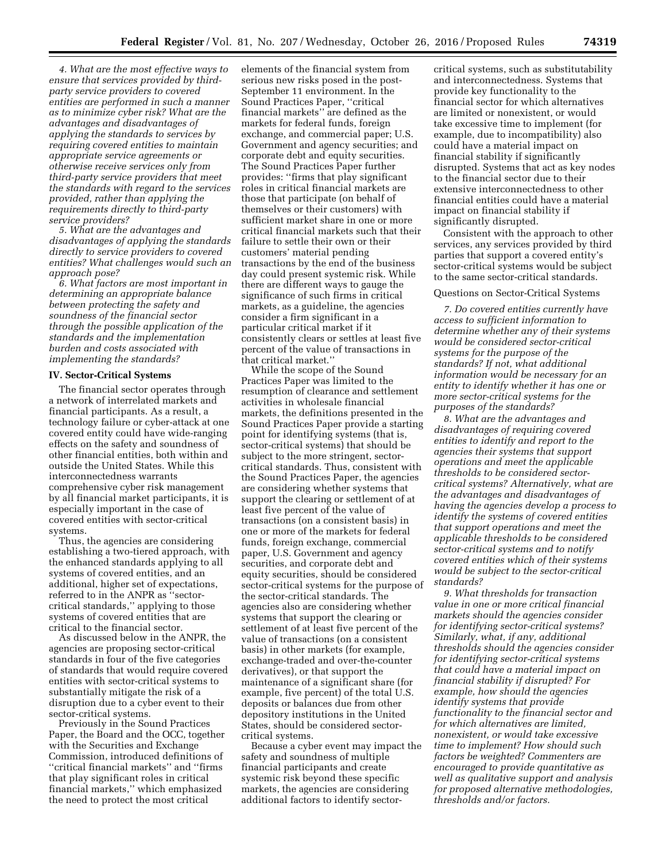*4. What are the most effective ways to ensure that services provided by thirdparty service providers to covered entities are performed in such a manner as to minimize cyber risk? What are the advantages and disadvantages of applying the standards to services by requiring covered entities to maintain appropriate service agreements or otherwise receive services only from third-party service providers that meet the standards with regard to the services provided, rather than applying the requirements directly to third-party service providers?* 

*5. What are the advantages and disadvantages of applying the standards directly to service providers to covered entities? What challenges would such an approach pose?* 

*6. What factors are most important in determining an appropriate balance between protecting the safety and soundness of the financial sector through the possible application of the standards and the implementation burden and costs associated with implementing the standards?* 

## **IV. Sector-Critical Systems**

The financial sector operates through a network of interrelated markets and financial participants. As a result, a technology failure or cyber-attack at one covered entity could have wide-ranging effects on the safety and soundness of other financial entities, both within and outside the United States. While this interconnectedness warrants comprehensive cyber risk management by all financial market participants, it is especially important in the case of covered entities with sector-critical systems.

Thus, the agencies are considering establishing a two-tiered approach, with the enhanced standards applying to all systems of covered entities, and an additional, higher set of expectations, referred to in the ANPR as ''sectorcritical standards,'' applying to those systems of covered entities that are critical to the financial sector.

As discussed below in the ANPR, the agencies are proposing sector-critical standards in four of the five categories of standards that would require covered entities with sector-critical systems to substantially mitigate the risk of a disruption due to a cyber event to their sector-critical systems.

Previously in the Sound Practices Paper, the Board and the OCC, together with the Securities and Exchange Commission, introduced definitions of ''critical financial markets'' and ''firms that play significant roles in critical financial markets,'' which emphasized the need to protect the most critical

elements of the financial system from serious new risks posed in the post-September 11 environment. In the Sound Practices Paper, ''critical financial markets'' are defined as the markets for federal funds, foreign exchange, and commercial paper; U.S. Government and agency securities; and corporate debt and equity securities. The Sound Practices Paper further provides: ''firms that play significant roles in critical financial markets are those that participate (on behalf of themselves or their customers) with sufficient market share in one or more critical financial markets such that their failure to settle their own or their customers' material pending transactions by the end of the business day could present systemic risk. While there are different ways to gauge the significance of such firms in critical markets, as a guideline, the agencies consider a firm significant in a particular critical market if it consistently clears or settles at least five percent of the value of transactions in that critical market.''

While the scope of the Sound Practices Paper was limited to the resumption of clearance and settlement activities in wholesale financial markets, the definitions presented in the Sound Practices Paper provide a starting point for identifying systems (that is, sector-critical systems) that should be subject to the more stringent, sectorcritical standards. Thus, consistent with the Sound Practices Paper, the agencies are considering whether systems that support the clearing or settlement of at least five percent of the value of transactions (on a consistent basis) in one or more of the markets for federal funds, foreign exchange, commercial paper, U.S. Government and agency securities, and corporate debt and equity securities, should be considered sector-critical systems for the purpose of the sector-critical standards. The agencies also are considering whether systems that support the clearing or settlement of at least five percent of the value of transactions (on a consistent basis) in other markets (for example, exchange-traded and over-the-counter derivatives), or that support the maintenance of a significant share (for example, five percent) of the total U.S. deposits or balances due from other depository institutions in the United States, should be considered sectorcritical systems.

Because a cyber event may impact the safety and soundness of multiple financial participants and create systemic risk beyond these specific markets, the agencies are considering additional factors to identify sectorcritical systems, such as substitutability and interconnectedness. Systems that provide key functionality to the financial sector for which alternatives are limited or nonexistent, or would take excessive time to implement (for example, due to incompatibility) also could have a material impact on financial stability if significantly disrupted. Systems that act as key nodes to the financial sector due to their extensive interconnectedness to other financial entities could have a material impact on financial stability if significantly disrupted.

Consistent with the approach to other services, any services provided by third parties that support a covered entity's sector-critical systems would be subject to the same sector-critical standards.

### Questions on Sector-Critical Systems

*7. Do covered entities currently have access to sufficient information to determine whether any of their systems would be considered sector-critical systems for the purpose of the standards? If not, what additional information would be necessary for an entity to identify whether it has one or more sector-critical systems for the purposes of the standards?* 

*8. What are the advantages and disadvantages of requiring covered entities to identify and report to the agencies their systems that support operations and meet the applicable thresholds to be considered sectorcritical systems? Alternatively, what are the advantages and disadvantages of having the agencies develop a process to identify the systems of covered entities that support operations and meet the applicable thresholds to be considered sector-critical systems and to notify covered entities which of their systems would be subject to the sector-critical standards?* 

*9. What thresholds for transaction value in one or more critical financial markets should the agencies consider for identifying sector-critical systems? Similarly, what, if any, additional thresholds should the agencies consider for identifying sector-critical systems that could have a material impact on financial stability if disrupted? For example, how should the agencies identify systems that provide functionality to the financial sector and for which alternatives are limited, nonexistent, or would take excessive time to implement? How should such factors be weighted? Commenters are encouraged to provide quantitative as well as qualitative support and analysis for proposed alternative methodologies, thresholds and/or factors.*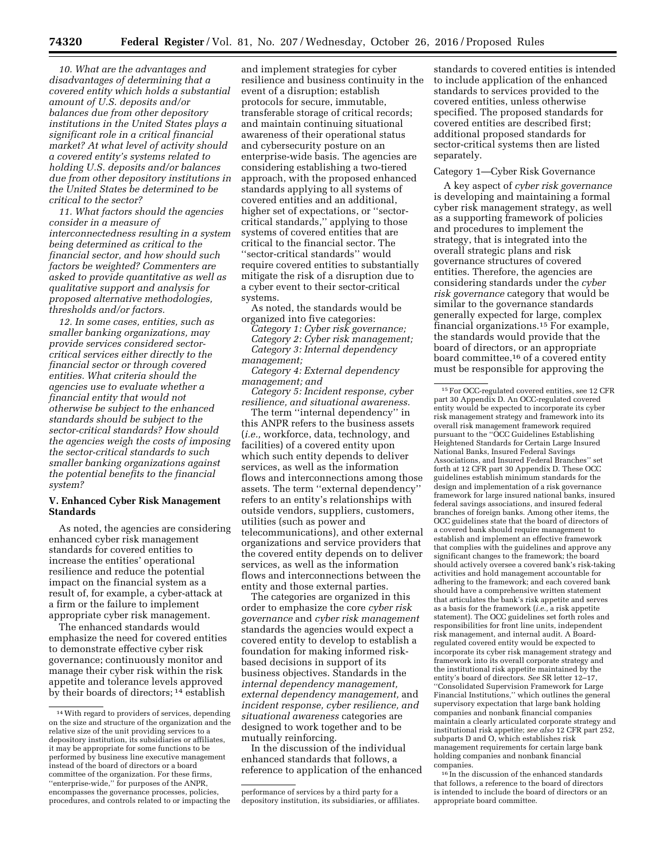*10. What are the advantages and disadvantages of determining that a covered entity which holds a substantial amount of U.S. deposits and/or balances due from other depository institutions in the United States plays a significant role in a critical financial market? At what level of activity should a covered entity's systems related to holding U.S. deposits and/or balances due from other depository institutions in the United States be determined to be critical to the sector?* 

*11. What factors should the agencies consider in a measure of interconnectedness resulting in a system being determined as critical to the financial sector, and how should such factors be weighted? Commenters are asked to provide quantitative as well as qualitative support and analysis for proposed alternative methodologies, thresholds and/or factors.* 

*12. In some cases, entities, such as smaller banking organizations, may provide services considered sectorcritical services either directly to the financial sector or through covered entities. What criteria should the agencies use to evaluate whether a financial entity that would not otherwise be subject to the enhanced standards should be subject to the sector-critical standards? How should the agencies weigh the costs of imposing the sector-critical standards to such smaller banking organizations against the potential benefits to the financial system?* 

## **V. Enhanced Cyber Risk Management Standards**

As noted, the agencies are considering enhanced cyber risk management standards for covered entities to increase the entities' operational resilience and reduce the potential impact on the financial system as a result of, for example, a cyber-attack at a firm or the failure to implement appropriate cyber risk management.

The enhanced standards would emphasize the need for covered entities to demonstrate effective cyber risk governance; continuously monitor and manage their cyber risk within the risk appetite and tolerance levels approved by their boards of directors;<sup>14</sup> establish

and implement strategies for cyber resilience and business continuity in the event of a disruption; establish protocols for secure, immutable, transferable storage of critical records; and maintain continuing situational awareness of their operational status and cybersecurity posture on an enterprise-wide basis. The agencies are considering establishing a two-tiered approach, with the proposed enhanced standards applying to all systems of covered entities and an additional, higher set of expectations, or ''sectorcritical standards,'' applying to those systems of covered entities that are critical to the financial sector. The ''sector-critical standards'' would require covered entities to substantially mitigate the risk of a disruption due to a cyber event to their sector-critical systems.

As noted, the standards would be organized into five categories:

*Category 1: Cyber risk governance; Category 2: Cyber risk management; Category 3: Internal dependency management;* 

*Category 4: External dependency management; and* 

*Category 5: Incident response, cyber resilience, and situational awareness.* 

The term ''internal dependency'' in this ANPR refers to the business assets (*i.e.,* workforce, data, technology, and facilities) of a covered entity upon which such entity depends to deliver services, as well as the information flows and interconnections among those assets. The term ''external dependency'' refers to an entity's relationships with outside vendors, suppliers, customers, utilities (such as power and telecommunications), and other external organizations and service providers that the covered entity depends on to deliver services, as well as the information flows and interconnections between the entity and those external parties.

The categories are organized in this order to emphasize the core *cyber risk governance* and *cyber risk management*  standards the agencies would expect a covered entity to develop to establish a foundation for making informed riskbased decisions in support of its business objectives. Standards in the *internal dependency management, external dependency management,* and *incident response, cyber resilience, and situational awareness* categories are designed to work together and to be mutually reinforcing.

In the discussion of the individual enhanced standards that follows, a reference to application of the enhanced

standards to covered entities is intended to include application of the enhanced standards to services provided to the covered entities, unless otherwise specified. The proposed standards for covered entities are described first; additional proposed standards for sector-critical systems then are listed separately.

## Category 1—Cyber Risk Governance

A key aspect of *cyber risk governance*  is developing and maintaining a formal cyber risk management strategy, as well as a supporting framework of policies and procedures to implement the strategy, that is integrated into the overall strategic plans and risk governance structures of covered entities. Therefore, the agencies are considering standards under the *cyber risk governance* category that would be similar to the governance standards generally expected for large, complex financial organizations.15 For example, the standards would provide that the board of directors, or an appropriate board committee,16 of a covered entity must be responsible for approving the

16 In the discussion of the enhanced standards that follows, a reference to the board of directors is intended to include the board of directors or an appropriate board committee.

<sup>14</sup>With regard to providers of services, depending on the size and structure of the organization and the relative size of the unit providing services to a depository institution, its subsidiaries or affiliates, it may be appropriate for some functions to be performed by business line executive management instead of the board of directors or a board committee of the organization. For these firms, ''enterprise-wide,'' for purposes of the ANPR, encompasses the governance processes, policies, procedures, and controls related to or impacting the

performance of services by a third party for a depository institution, its subsidiaries, or affiliates.

<sup>15</sup>For OCC-regulated covered entities, see 12 CFR part 30 Appendix D. An OCC-regulated covered entity would be expected to incorporate its cyber risk management strategy and framework into its overall risk management framework required pursuant to the ''OCC Guidelines Establishing Heightened Standards for Certain Large Insured National Banks, Insured Federal Savings Associations, and Insured Federal Branches'' set forth at 12 CFR part 30 Appendix D. These OCC guidelines establish minimum standards for the design and implementation of a risk governance framework for large insured national banks, insured federal savings associations, and insured federal branches of foreign banks. Among other items, the OCC guidelines state that the board of directors of a covered bank should require management to establish and implement an effective framework that complies with the guidelines and approve any significant changes to the framework; the board should actively oversee a covered bank's risk-taking activities and hold management accountable for adhering to the framework; and each covered bank should have a comprehensive written statement that articulates the bank's risk appetite and serves as a basis for the framework (*i.e.,* a risk appetite statement). The OCC guidelines set forth roles and responsibilities for front line units, independent risk management, and internal audit. A Boardregulated covered entity would be expected to incorporate its cyber risk management strategy and framework into its overall corporate strategy and the institutional risk appetite maintained by the entity's board of directors. *See* SR letter 12–17, ''Consolidated Supervision Framework for Large Financial Institutions," which outlines the general supervisory expectation that large bank holding companies and nonbank financial companies maintain a clearly articulated corporate strategy and institutional risk appetite; *see also* 12 CFR part 252, subparts D and O, which establishes risk management requirements for certain large bank holding companies and nonbank financial companies.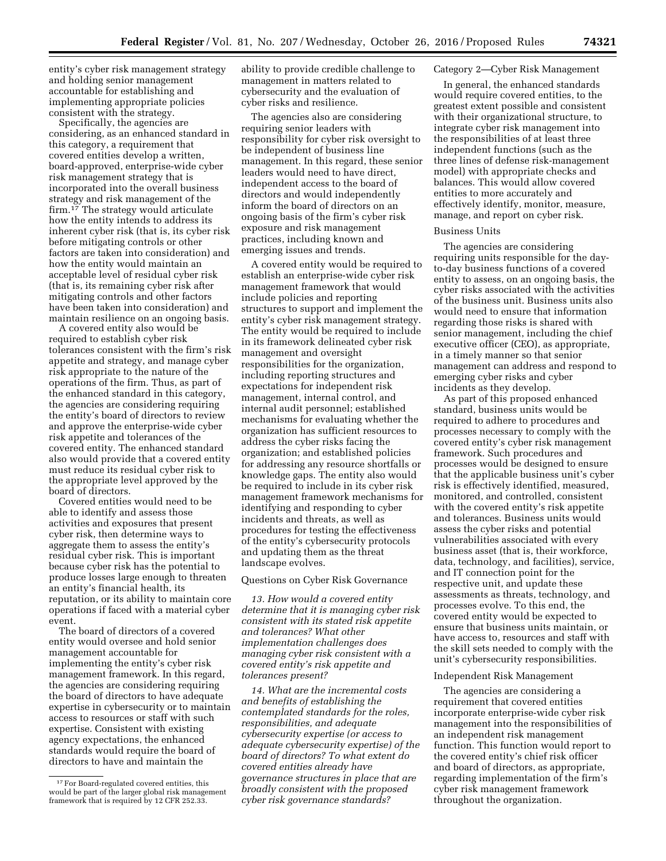entity's cyber risk management strategy and holding senior management accountable for establishing and implementing appropriate policies consistent with the strategy.

Specifically, the agencies are considering, as an enhanced standard in this category, a requirement that covered entities develop a written, board-approved, enterprise-wide cyber risk management strategy that is incorporated into the overall business strategy and risk management of the firm.<sup>17</sup> The strategy would articulate how the entity intends to address its inherent cyber risk (that is, its cyber risk before mitigating controls or other factors are taken into consideration) and how the entity would maintain an acceptable level of residual cyber risk (that is, its remaining cyber risk after mitigating controls and other factors have been taken into consideration) and maintain resilience on an ongoing basis.

A covered entity also would be required to establish cyber risk tolerances consistent with the firm's risk appetite and strategy, and manage cyber risk appropriate to the nature of the operations of the firm. Thus, as part of the enhanced standard in this category, the agencies are considering requiring the entity's board of directors to review and approve the enterprise-wide cyber risk appetite and tolerances of the covered entity. The enhanced standard also would provide that a covered entity must reduce its residual cyber risk to the appropriate level approved by the board of directors.

Covered entities would need to be able to identify and assess those activities and exposures that present cyber risk, then determine ways to aggregate them to assess the entity's residual cyber risk. This is important because cyber risk has the potential to produce losses large enough to threaten an entity's financial health, its reputation, or its ability to maintain core operations if faced with a material cyber event.

The board of directors of a covered entity would oversee and hold senior management accountable for implementing the entity's cyber risk management framework. In this regard, the agencies are considering requiring the board of directors to have adequate expertise in cybersecurity or to maintain access to resources or staff with such expertise. Consistent with existing agency expectations, the enhanced standards would require the board of directors to have and maintain the

ability to provide credible challenge to management in matters related to cybersecurity and the evaluation of cyber risks and resilience.

The agencies also are considering requiring senior leaders with responsibility for cyber risk oversight to be independent of business line management. In this regard, these senior leaders would need to have direct, independent access to the board of directors and would independently inform the board of directors on an ongoing basis of the firm's cyber risk exposure and risk management practices, including known and emerging issues and trends.

A covered entity would be required to establish an enterprise-wide cyber risk management framework that would include policies and reporting structures to support and implement the entity's cyber risk management strategy. The entity would be required to include in its framework delineated cyber risk management and oversight responsibilities for the organization, including reporting structures and expectations for independent risk management, internal control, and internal audit personnel; established mechanisms for evaluating whether the organization has sufficient resources to address the cyber risks facing the organization; and established policies for addressing any resource shortfalls or knowledge gaps. The entity also would be required to include in its cyber risk management framework mechanisms for identifying and responding to cyber incidents and threats, as well as procedures for testing the effectiveness of the entity's cybersecurity protocols and updating them as the threat landscape evolves.

#### Questions on Cyber Risk Governance

*13. How would a covered entity determine that it is managing cyber risk consistent with its stated risk appetite and tolerances? What other implementation challenges does managing cyber risk consistent with a covered entity's risk appetite and tolerances present?* 

*14. What are the incremental costs and benefits of establishing the contemplated standards for the roles, responsibilities, and adequate cybersecurity expertise (or access to adequate cybersecurity expertise) of the board of directors? To what extent do covered entities already have governance structures in place that are broadly consistent with the proposed cyber risk governance standards?* 

## Category 2—Cyber Risk Management

In general, the enhanced standards would require covered entities, to the greatest extent possible and consistent with their organizational structure, to integrate cyber risk management into the responsibilities of at least three independent functions (such as the three lines of defense risk-management model) with appropriate checks and balances. This would allow covered entities to more accurately and effectively identify, monitor, measure, manage, and report on cyber risk.

### Business Units

The agencies are considering requiring units responsible for the dayto-day business functions of a covered entity to assess, on an ongoing basis, the cyber risks associated with the activities of the business unit. Business units also would need to ensure that information regarding those risks is shared with senior management, including the chief executive officer (CEO), as appropriate, in a timely manner so that senior management can address and respond to emerging cyber risks and cyber incidents as they develop.

As part of this proposed enhanced standard, business units would be required to adhere to procedures and processes necessary to comply with the covered entity's cyber risk management framework. Such procedures and processes would be designed to ensure that the applicable business unit's cyber risk is effectively identified, measured, monitored, and controlled, consistent with the covered entity's risk appetite and tolerances. Business units would assess the cyber risks and potential vulnerabilities associated with every business asset (that is, their workforce, data, technology, and facilities), service, and IT connection point for the respective unit, and update these assessments as threats, technology, and processes evolve. To this end, the covered entity would be expected to ensure that business units maintain, or have access to, resources and staff with the skill sets needed to comply with the unit's cybersecurity responsibilities.

#### Independent Risk Management

The agencies are considering a requirement that covered entities incorporate enterprise-wide cyber risk management into the responsibilities of an independent risk management function. This function would report to the covered entity's chief risk officer and board of directors, as appropriate, regarding implementation of the firm's cyber risk management framework throughout the organization.

<sup>&</sup>lt;sup>17</sup> For Board-regulated covered entities, this would be part of the larger global risk management framework that is required by 12 CFR 252.33.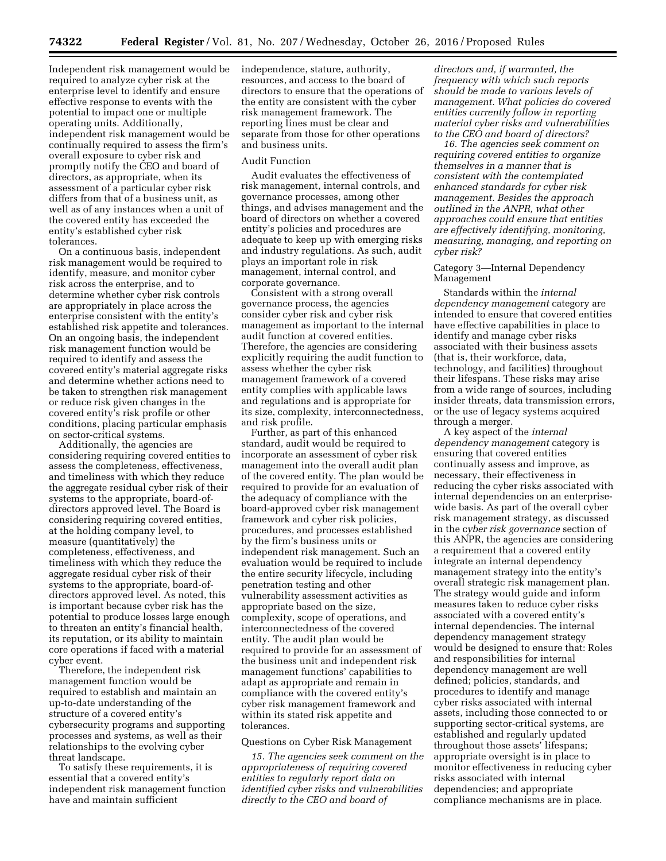Independent risk management would be required to analyze cyber risk at the enterprise level to identify and ensure effective response to events with the potential to impact one or multiple operating units. Additionally, independent risk management would be continually required to assess the firm's overall exposure to cyber risk and promptly notify the CEO and board of directors, as appropriate, when its assessment of a particular cyber risk differs from that of a business unit, as well as of any instances when a unit of the covered entity has exceeded the entity's established cyber risk tolerances.

On a continuous basis, independent risk management would be required to identify, measure, and monitor cyber risk across the enterprise, and to determine whether cyber risk controls are appropriately in place across the enterprise consistent with the entity's established risk appetite and tolerances. On an ongoing basis, the independent risk management function would be required to identify and assess the covered entity's material aggregate risks and determine whether actions need to be taken to strengthen risk management or reduce risk given changes in the covered entity's risk profile or other conditions, placing particular emphasis on sector-critical systems.

Additionally, the agencies are considering requiring covered entities to assess the completeness, effectiveness, and timeliness with which they reduce the aggregate residual cyber risk of their systems to the appropriate, board-ofdirectors approved level. The Board is considering requiring covered entities, at the holding company level, to measure (quantitatively) the completeness, effectiveness, and timeliness with which they reduce the aggregate residual cyber risk of their systems to the appropriate, board-ofdirectors approved level. As noted, this is important because cyber risk has the potential to produce losses large enough to threaten an entity's financial health, its reputation, or its ability to maintain core operations if faced with a material cyber event.

Therefore, the independent risk management function would be required to establish and maintain an up-to-date understanding of the structure of a covered entity's cybersecurity programs and supporting processes and systems, as well as their relationships to the evolving cyber threat landscape.

To satisfy these requirements, it is essential that a covered entity's independent risk management function have and maintain sufficient

independence, stature, authority, resources, and access to the board of directors to ensure that the operations of the entity are consistent with the cyber risk management framework. The reporting lines must be clear and separate from those for other operations and business units.

#### Audit Function

Audit evaluates the effectiveness of risk management, internal controls, and governance processes, among other things, and advises management and the board of directors on whether a covered entity's policies and procedures are adequate to keep up with emerging risks and industry regulations. As such, audit plays an important role in risk management, internal control, and corporate governance.

Consistent with a strong overall governance process, the agencies consider cyber risk and cyber risk management as important to the internal audit function at covered entities. Therefore, the agencies are considering explicitly requiring the audit function to assess whether the cyber risk management framework of a covered entity complies with applicable laws and regulations and is appropriate for its size, complexity, interconnectedness, and risk profile.

Further, as part of this enhanced standard, audit would be required to incorporate an assessment of cyber risk management into the overall audit plan of the covered entity. The plan would be required to provide for an evaluation of the adequacy of compliance with the board-approved cyber risk management framework and cyber risk policies, procedures, and processes established by the firm's business units or independent risk management. Such an evaluation would be required to include the entire security lifecycle, including penetration testing and other vulnerability assessment activities as appropriate based on the size, complexity, scope of operations, and interconnectedness of the covered entity. The audit plan would be required to provide for an assessment of the business unit and independent risk management functions' capabilities to adapt as appropriate and remain in compliance with the covered entity's cyber risk management framework and within its stated risk appetite and tolerances.

#### Questions on Cyber Risk Management

*15. The agencies seek comment on the appropriateness of requiring covered entities to regularly report data on identified cyber risks and vulnerabilities directly to the CEO and board of* 

*directors and, if warranted, the frequency with which such reports should be made to various levels of management. What policies do covered entities currently follow in reporting material cyber risks and vulnerabilities to the CEO and board of directors?* 

*16. The agencies seek comment on requiring covered entities to organize themselves in a manner that is consistent with the contemplated enhanced standards for cyber risk management. Besides the approach outlined in the ANPR, what other approaches could ensure that entities are effectively identifying, monitoring, measuring, managing, and reporting on cyber risk?* 

## Category 3—Internal Dependency Management

Standards within the *internal dependency management* category are intended to ensure that covered entities have effective capabilities in place to identify and manage cyber risks associated with their business assets (that is, their workforce, data, technology, and facilities) throughout their lifespans. These risks may arise from a wide range of sources, including insider threats, data transmission errors, or the use of legacy systems acquired through a merger.

A key aspect of the *internal dependency management* category is ensuring that covered entities continually assess and improve, as necessary, their effectiveness in reducing the cyber risks associated with internal dependencies on an enterprisewide basis. As part of the overall cyber risk management strategy, as discussed in the c*yber risk governance* section of this ANPR, the agencies are considering a requirement that a covered entity integrate an internal dependency management strategy into the entity's overall strategic risk management plan. The strategy would guide and inform measures taken to reduce cyber risks associated with a covered entity's internal dependencies. The internal dependency management strategy would be designed to ensure that: Roles and responsibilities for internal dependency management are well defined; policies, standards, and procedures to identify and manage cyber risks associated with internal assets, including those connected to or supporting sector-critical systems, are established and regularly updated throughout those assets' lifespans; appropriate oversight is in place to monitor effectiveness in reducing cyber risks associated with internal dependencies; and appropriate compliance mechanisms are in place.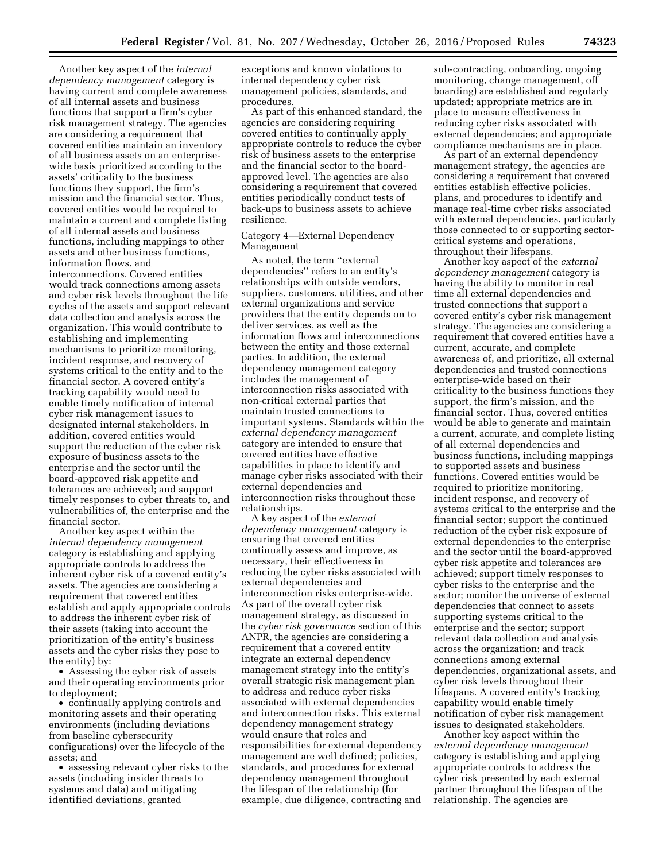Another key aspect of the *internal dependency management* category is having current and complete awareness of all internal assets and business functions that support a firm's cyber risk management strategy. The agencies are considering a requirement that covered entities maintain an inventory of all business assets on an enterprisewide basis prioritized according to the assets' criticality to the business functions they support, the firm's mission and the financial sector. Thus, covered entities would be required to maintain a current and complete listing of all internal assets and business functions, including mappings to other assets and other business functions, information flows, and interconnections. Covered entities would track connections among assets and cyber risk levels throughout the life cycles of the assets and support relevant data collection and analysis across the organization. This would contribute to establishing and implementing mechanisms to prioritize monitoring, incident response, and recovery of systems critical to the entity and to the financial sector. A covered entity's tracking capability would need to enable timely notification of internal cyber risk management issues to designated internal stakeholders. In addition, covered entities would support the reduction of the cyber risk exposure of business assets to the enterprise and the sector until the board-approved risk appetite and tolerances are achieved; and support timely responses to cyber threats to, and vulnerabilities of, the enterprise and the financial sector.

Another key aspect within the *internal dependency management*  category is establishing and applying appropriate controls to address the inherent cyber risk of a covered entity's assets. The agencies are considering a requirement that covered entities establish and apply appropriate controls to address the inherent cyber risk of their assets (taking into account the prioritization of the entity's business assets and the cyber risks they pose to the entity) by:

• Assessing the cyber risk of assets and their operating environments prior to deployment;

• continually applying controls and monitoring assets and their operating environments (including deviations from baseline cybersecurity configurations) over the lifecycle of the assets; and

• assessing relevant cyber risks to the assets (including insider threats to systems and data) and mitigating identified deviations, granted

exceptions and known violations to internal dependency cyber risk management policies, standards, and procedures.

As part of this enhanced standard, the agencies are considering requiring covered entities to continually apply appropriate controls to reduce the cyber risk of business assets to the enterprise and the financial sector to the boardapproved level. The agencies are also considering a requirement that covered entities periodically conduct tests of back-ups to business assets to achieve resilience.

## Category 4—External Dependency Management

As noted, the term ''external dependencies'' refers to an entity's relationships with outside vendors, suppliers, customers, utilities, and other external organizations and service providers that the entity depends on to deliver services, as well as the information flows and interconnections between the entity and those external parties. In addition, the external dependency management category includes the management of interconnection risks associated with non-critical external parties that maintain trusted connections to important systems. Standards within the *external dependency management*  category are intended to ensure that covered entities have effective capabilities in place to identify and manage cyber risks associated with their external dependencies and interconnection risks throughout these relationships.

A key aspect of the *external dependency management* category is ensuring that covered entities continually assess and improve, as necessary, their effectiveness in reducing the cyber risks associated with external dependencies and interconnection risks enterprise-wide. As part of the overall cyber risk management strategy, as discussed in the *cyber risk governance* section of this ANPR, the agencies are considering a requirement that a covered entity integrate an external dependency management strategy into the entity's overall strategic risk management plan to address and reduce cyber risks associated with external dependencies and interconnection risks. This external dependency management strategy would ensure that roles and responsibilities for external dependency management are well defined; policies, standards, and procedures for external dependency management throughout the lifespan of the relationship (for example, due diligence, contracting and

sub-contracting, onboarding, ongoing monitoring, change management, off boarding) are established and regularly updated; appropriate metrics are in place to measure effectiveness in reducing cyber risks associated with external dependencies; and appropriate compliance mechanisms are in place.

As part of an external dependency management strategy, the agencies are considering a requirement that covered entities establish effective policies, plans, and procedures to identify and manage real-time cyber risks associated with external dependencies, particularly those connected to or supporting sectorcritical systems and operations, throughout their lifespans.

Another key aspect of the *external dependency management* category is having the ability to monitor in real time all external dependencies and trusted connections that support a covered entity's cyber risk management strategy. The agencies are considering a requirement that covered entities have a current, accurate, and complete awareness of, and prioritize, all external dependencies and trusted connections enterprise-wide based on their criticality to the business functions they support, the firm's mission, and the financial sector. Thus, covered entities would be able to generate and maintain a current, accurate, and complete listing of all external dependencies and business functions, including mappings to supported assets and business functions. Covered entities would be required to prioritize monitoring, incident response, and recovery of systems critical to the enterprise and the financial sector; support the continued reduction of the cyber risk exposure of external dependencies to the enterprise and the sector until the board-approved cyber risk appetite and tolerances are achieved; support timely responses to cyber risks to the enterprise and the sector; monitor the universe of external dependencies that connect to assets supporting systems critical to the enterprise and the sector; support relevant data collection and analysis across the organization; and track connections among external dependencies, organizational assets, and cyber risk levels throughout their lifespans. A covered entity's tracking capability would enable timely notification of cyber risk management issues to designated stakeholders.

Another key aspect within the *external dependency management*  category is establishing and applying appropriate controls to address the cyber risk presented by each external partner throughout the lifespan of the relationship. The agencies are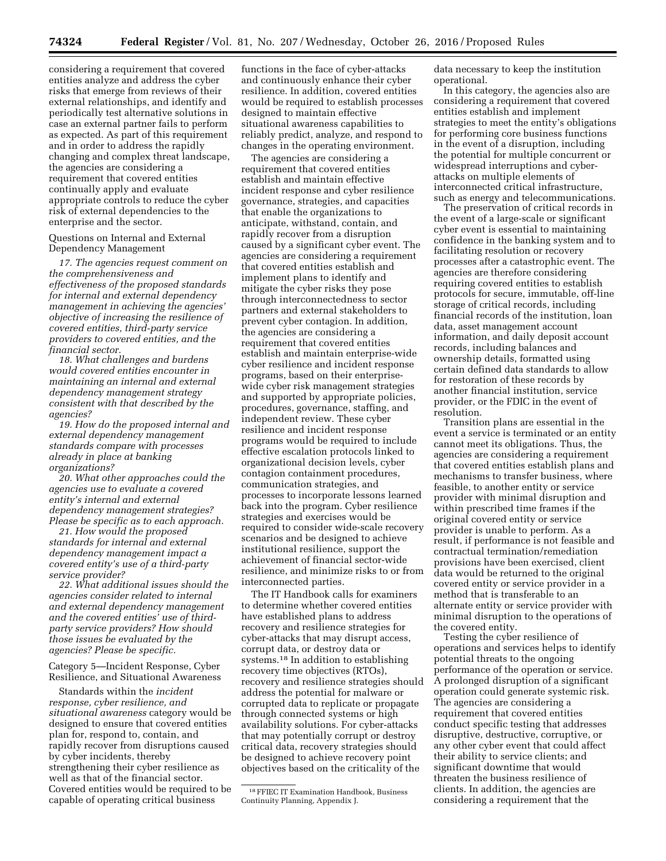considering a requirement that covered entities analyze and address the cyber risks that emerge from reviews of their external relationships, and identify and periodically test alternative solutions in case an external partner fails to perform as expected. As part of this requirement and in order to address the rapidly changing and complex threat landscape, the agencies are considering a requirement that covered entities continually apply and evaluate appropriate controls to reduce the cyber risk of external dependencies to the enterprise and the sector.

Questions on Internal and External Dependency Management

*17. The agencies request comment on the comprehensiveness and effectiveness of the proposed standards for internal and external dependency management in achieving the agencies' objective of increasing the resilience of covered entities, third-party service providers to covered entities, and the financial sector.* 

*18. What challenges and burdens would covered entities encounter in maintaining an internal and external dependency management strategy consistent with that described by the agencies?* 

*19. How do the proposed internal and external dependency management standards compare with processes already in place at banking organizations?* 

*20. What other approaches could the agencies use to evaluate a covered entity's internal and external dependency management strategies? Please be specific as to each approach.* 

*21. How would the proposed standards for internal and external dependency management impact a covered entity's use of a third-party service provider?* 

*22. What additional issues should the agencies consider related to internal and external dependency management and the covered entities' use of thirdparty service providers? How should those issues be evaluated by the agencies? Please be specific.* 

Category 5—Incident Response, Cyber Resilience, and Situational Awareness

Standards within the *incident response, cyber resilience, and situational awareness* category would be designed to ensure that covered entities plan for, respond to, contain, and rapidly recover from disruptions caused by cyber incidents, thereby strengthening their cyber resilience as well as that of the financial sector. Covered entities would be required to be capable of operating critical business

functions in the face of cyber-attacks and continuously enhance their cyber resilience. In addition, covered entities would be required to establish processes designed to maintain effective situational awareness capabilities to reliably predict, analyze, and respond to changes in the operating environment.

The agencies are considering a requirement that covered entities establish and maintain effective incident response and cyber resilience governance, strategies, and capacities that enable the organizations to anticipate, withstand, contain, and rapidly recover from a disruption caused by a significant cyber event. The agencies are considering a requirement that covered entities establish and implement plans to identify and mitigate the cyber risks they pose through interconnectedness to sector partners and external stakeholders to prevent cyber contagion. In addition, the agencies are considering a requirement that covered entities establish and maintain enterprise-wide cyber resilience and incident response programs, based on their enterprisewide cyber risk management strategies and supported by appropriate policies, procedures, governance, staffing, and independent review. These cyber resilience and incident response programs would be required to include effective escalation protocols linked to organizational decision levels, cyber contagion containment procedures, communication strategies, and processes to incorporate lessons learned back into the program. Cyber resilience strategies and exercises would be required to consider wide-scale recovery scenarios and be designed to achieve institutional resilience, support the achievement of financial sector-wide resilience, and minimize risks to or from interconnected parties.

The IT Handbook calls for examiners to determine whether covered entities have established plans to address recovery and resilience strategies for cyber-attacks that may disrupt access, corrupt data, or destroy data or systems.18 In addition to establishing recovery time objectives (RTOs), recovery and resilience strategies should address the potential for malware or corrupted data to replicate or propagate through connected systems or high availability solutions. For cyber-attacks that may potentially corrupt or destroy critical data, recovery strategies should be designed to achieve recovery point objectives based on the criticality of the

data necessary to keep the institution operational.

In this category, the agencies also are considering a requirement that covered entities establish and implement strategies to meet the entity's obligations for performing core business functions in the event of a disruption, including the potential for multiple concurrent or widespread interruptions and cyberattacks on multiple elements of interconnected critical infrastructure, such as energy and telecommunications.

The preservation of critical records in the event of a large-scale or significant cyber event is essential to maintaining confidence in the banking system and to facilitating resolution or recovery processes after a catastrophic event. The agencies are therefore considering requiring covered entities to establish protocols for secure, immutable, off-line storage of critical records, including financial records of the institution, loan data, asset management account information, and daily deposit account records, including balances and ownership details, formatted using certain defined data standards to allow for restoration of these records by another financial institution, service provider, or the FDIC in the event of resolution.

Transition plans are essential in the event a service is terminated or an entity cannot meet its obligations. Thus, the agencies are considering a requirement that covered entities establish plans and mechanisms to transfer business, where feasible, to another entity or service provider with minimal disruption and within prescribed time frames if the original covered entity or service provider is unable to perform. As a result, if performance is not feasible and contractual termination/remediation provisions have been exercised, client data would be returned to the original covered entity or service provider in a method that is transferable to an alternate entity or service provider with minimal disruption to the operations of the covered entity.

Testing the cyber resilience of operations and services helps to identify potential threats to the ongoing performance of the operation or service. A prolonged disruption of a significant operation could generate systemic risk. The agencies are considering a requirement that covered entities conduct specific testing that addresses disruptive, destructive, corruptive, or any other cyber event that could affect their ability to service clients; and significant downtime that would threaten the business resilience of clients. In addition, the agencies are considering a requirement that the

<sup>18</sup>FFIEC IT Examination Handbook, Business Continuity Planning, Appendix J.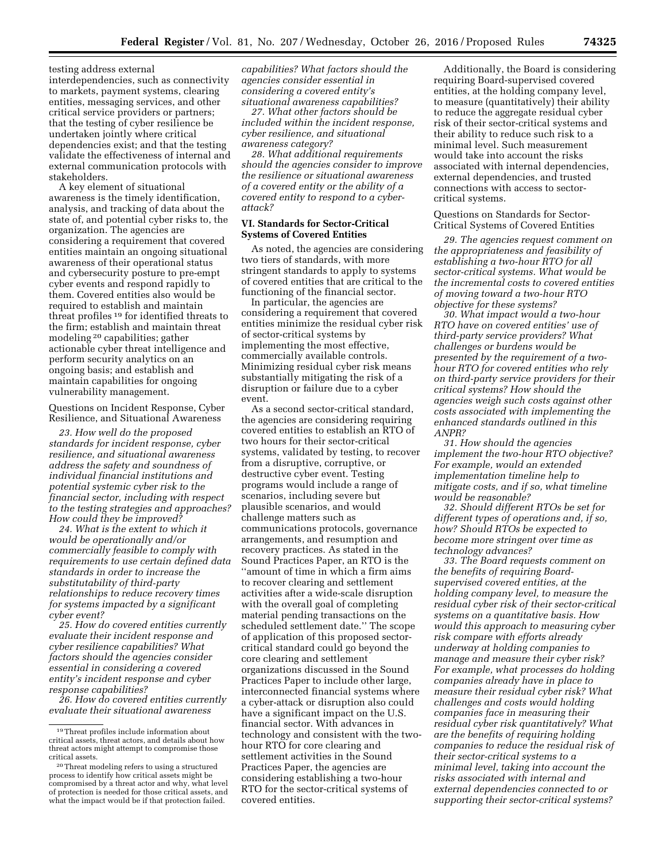testing address external interdependencies, such as connectivity to markets, payment systems, clearing entities, messaging services, and other critical service providers or partners; that the testing of cyber resilience be undertaken jointly where critical dependencies exist; and that the testing validate the effectiveness of internal and external communication protocols with stakeholders.

A key element of situational awareness is the timely identification, analysis, and tracking of data about the state of, and potential cyber risks to, the organization. The agencies are considering a requirement that covered entities maintain an ongoing situational awareness of their operational status and cybersecurity posture to pre-empt cyber events and respond rapidly to them. Covered entities also would be required to establish and maintain threat profiles 19 for identified threats to the firm; establish and maintain threat modeling 20 capabilities; gather actionable cyber threat intelligence and perform security analytics on an ongoing basis; and establish and maintain capabilities for ongoing vulnerability management.

Questions on Incident Response, Cyber Resilience, and Situational Awareness

*23. How well do the proposed standards for incident response, cyber resilience, and situational awareness address the safety and soundness of individual financial institutions and potential systemic cyber risk to the financial sector, including with respect to the testing strategies and approaches? How could they be improved?* 

*24. What is the extent to which it would be operationally and/or commercially feasible to comply with requirements to use certain defined data standards in order to increase the substitutability of third-party relationships to reduce recovery times for systems impacted by a significant cyber event?* 

*25. How do covered entities currently evaluate their incident response and cyber resilience capabilities? What factors should the agencies consider essential in considering a covered entity's incident response and cyber response capabilities?* 

*26. How do covered entities currently evaluate their situational awareness* 

*capabilities? What factors should the agencies consider essential in considering a covered entity's situational awareness capabilities?* 

*27. What other factors should be included within the incident response, cyber resilience, and situational awareness category?* 

*28. What additional requirements should the agencies consider to improve the resilience or situational awareness of a covered entity or the ability of a covered entity to respond to a cyberattack?* 

## **VI. Standards for Sector-Critical Systems of Covered Entities**

As noted, the agencies are considering two tiers of standards, with more stringent standards to apply to systems of covered entities that are critical to the functioning of the financial sector.

In particular, the agencies are considering a requirement that covered entities minimize the residual cyber risk of sector-critical systems by implementing the most effective, commercially available controls. Minimizing residual cyber risk means substantially mitigating the risk of a disruption or failure due to a cyber event.

As a second sector-critical standard, the agencies are considering requiring covered entities to establish an RTO of two hours for their sector-critical systems, validated by testing, to recover from a disruptive, corruptive, or destructive cyber event. Testing programs would include a range of scenarios, including severe but plausible scenarios, and would challenge matters such as communications protocols, governance arrangements, and resumption and recovery practices. As stated in the Sound Practices Paper, an RTO is the ''amount of time in which a firm aims to recover clearing and settlement activities after a wide-scale disruption with the overall goal of completing material pending transactions on the scheduled settlement date.'' The scope of application of this proposed sectorcritical standard could go beyond the core clearing and settlement organizations discussed in the Sound Practices Paper to include other large, interconnected financial systems where a cyber-attack or disruption also could have a significant impact on the U.S. financial sector. With advances in technology and consistent with the twohour RTO for core clearing and settlement activities in the Sound Practices Paper, the agencies are considering establishing a two-hour RTO for the sector-critical systems of covered entities.

Additionally, the Board is considering requiring Board-supervised covered entities, at the holding company level, to measure (quantitatively) their ability to reduce the aggregate residual cyber risk of their sector-critical systems and their ability to reduce such risk to a minimal level. Such measurement would take into account the risks associated with internal dependencies, external dependencies, and trusted connections with access to sectorcritical systems.

Questions on Standards for Sector-Critical Systems of Covered Entities

*29. The agencies request comment on the appropriateness and feasibility of establishing a two-hour RTO for all sector-critical systems. What would be the incremental costs to covered entities of moving toward a two-hour RTO objective for these systems?* 

*30. What impact would a two-hour RTO have on covered entities' use of third-party service providers? What challenges or burdens would be presented by the requirement of a twohour RTO for covered entities who rely on third-party service providers for their critical systems? How should the agencies weigh such costs against other costs associated with implementing the enhanced standards outlined in this ANPR?* 

*31. How should the agencies implement the two-hour RTO objective? For example, would an extended implementation timeline help to mitigate costs, and if so, what timeline would be reasonable?* 

*32. Should different RTOs be set for different types of operations and, if so, how? Should RTOs be expected to become more stringent over time as technology advances?* 

*33. The Board requests comment on the benefits of requiring Boardsupervised covered entities, at the holding company level, to measure the residual cyber risk of their sector-critical systems on a quantitative basis. How would this approach to measuring cyber risk compare with efforts already underway at holding companies to manage and measure their cyber risk? For example, what processes do holding companies already have in place to measure their residual cyber risk? What challenges and costs would holding companies face in measuring their residual cyber risk quantitatively? What are the benefits of requiring holding companies to reduce the residual risk of their sector-critical systems to a minimal level, taking into account the risks associated with internal and external dependencies connected to or supporting their sector-critical systems?* 

<sup>19</sup>Threat profiles include information about critical assets, threat actors, and details about how threat actors might attempt to compromise those

 $^{\rm 20}\!$  Threat modeling refers to using a structured process to identify how critical assets might be compromised by a threat actor and why, what level of protection is needed for those critical assets, and what the impact would be if that protection failed.